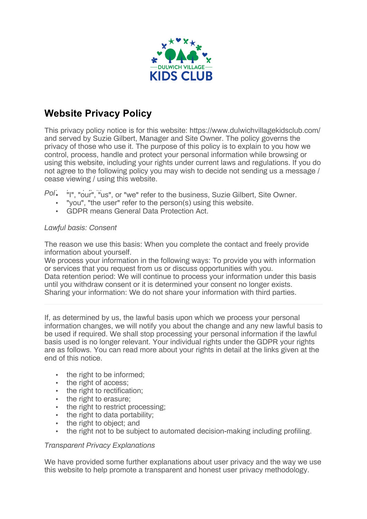

## **Website Privacy Policy**

This privacy policy notice is for this website: https://www.dulwichvillagekidsclub.com/ and served by Suzie Gilbert, Manager and Site Owner. The policy governs the privacy of those who use it. The purpose of this policy is to explain to you how we control, process, handle and protect your personal information while browsing or using this website, including your rights under current laws and regulations. If you do not agree to the following policy you may wish to decide not sending us a message / cease viewing / using this website.

Pol<sup>'</sup>. <sup>i</sup>I", "our<sup>"</sup>, "us", or "we" refer to the business, Suzie Gilbert, Site Owner.

- "you", "the user" refer to the person(s) using this website.
- GDPR means General Data Protection Act.

## *Lawful basis: Consent*

The reason we use this basis: When you complete the contact and freely provide information about yourself.

We process your information in the following ways: To provide you with information or services that you request from us or discuss opportunities with you. Data retention period: We will continue to process your information under this basis until you withdraw consent or it is determined your consent no longer exists. Sharing your information: We do not share your information with third parties.

If, as determined by us, the lawful basis upon which we process your personal information changes, we will notify you about the change and any new lawful basis to be used if required. We shall stop processing your personal information if the lawful basis used is no longer relevant. Your individual rights under the GDPR your rights are as follows. You can read more about your rights in detail at the links given at the end of this notice.

- the right to be informed:
- the right of access;
- the right to rectification;
- the right to erasure;
- the right to restrict processing;
- the right to data portability;
- the right to object: and
- the right not to be subject to automated decision-making including profiling.

## *Transparent Privacy Explanations*

We have provided some further explanations about user privacy and the way we use this website to help promote a transparent and honest user privacy methodology.